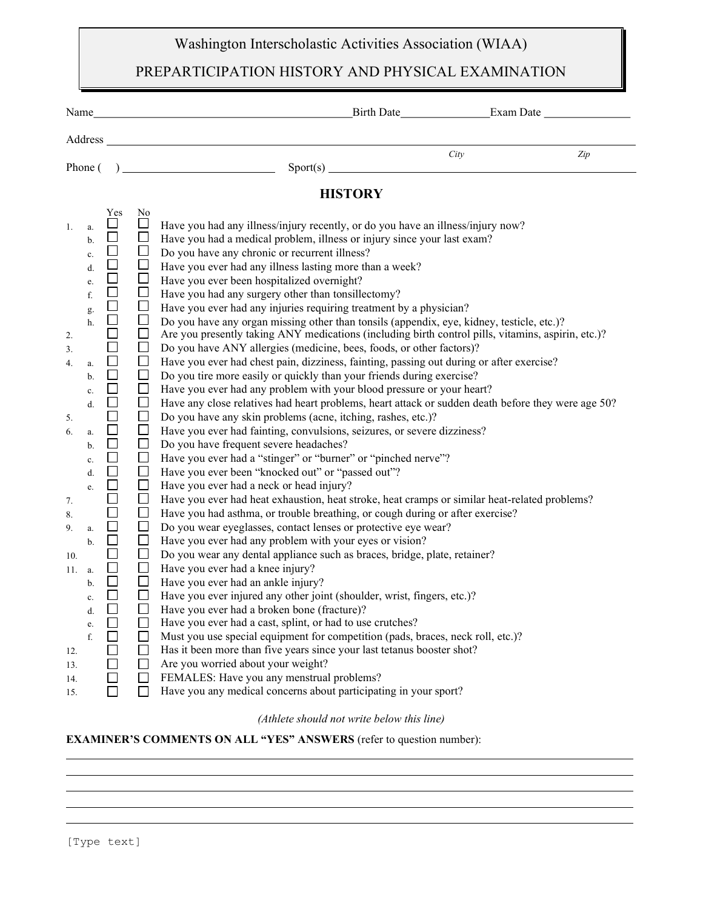## Washington Interscholastic Activities Association (WIAA)

## PREPARTICIPATION HISTORY AND PHYSICAL EXAMINATION

| Name                                                                                                                                                                                                                                                                                                                                                                                            | <u> 1989 - Johann Stoff, amerikansk politiker (d. 1989)</u>                                                                                                                                                                                                                                                                                                                                                                                                                                                                                                                                                                                                                                                                                                                                                                                                                                                                                                                                                                                                                                                                                                                                                                                                                                                                                                                                                                                                                                                                                                                                                                                                                                                                                                                                                                                                                                                                                                                                                                                                                                                                                                                                                  |      | Birth Date <u>Carl Birth Date</u> |
|-------------------------------------------------------------------------------------------------------------------------------------------------------------------------------------------------------------------------------------------------------------------------------------------------------------------------------------------------------------------------------------------------|--------------------------------------------------------------------------------------------------------------------------------------------------------------------------------------------------------------------------------------------------------------------------------------------------------------------------------------------------------------------------------------------------------------------------------------------------------------------------------------------------------------------------------------------------------------------------------------------------------------------------------------------------------------------------------------------------------------------------------------------------------------------------------------------------------------------------------------------------------------------------------------------------------------------------------------------------------------------------------------------------------------------------------------------------------------------------------------------------------------------------------------------------------------------------------------------------------------------------------------------------------------------------------------------------------------------------------------------------------------------------------------------------------------------------------------------------------------------------------------------------------------------------------------------------------------------------------------------------------------------------------------------------------------------------------------------------------------------------------------------------------------------------------------------------------------------------------------------------------------------------------------------------------------------------------------------------------------------------------------------------------------------------------------------------------------------------------------------------------------------------------------------------------------------------------------------------------------|------|-----------------------------------|
|                                                                                                                                                                                                                                                                                                                                                                                                 |                                                                                                                                                                                                                                                                                                                                                                                                                                                                                                                                                                                                                                                                                                                                                                                                                                                                                                                                                                                                                                                                                                                                                                                                                                                                                                                                                                                                                                                                                                                                                                                                                                                                                                                                                                                                                                                                                                                                                                                                                                                                                                                                                                                                              |      |                                   |
|                                                                                                                                                                                                                                                                                                                                                                                                 | Phone $( )$ Sport(s) Sport(s)                                                                                                                                                                                                                                                                                                                                                                                                                                                                                                                                                                                                                                                                                                                                                                                                                                                                                                                                                                                                                                                                                                                                                                                                                                                                                                                                                                                                                                                                                                                                                                                                                                                                                                                                                                                                                                                                                                                                                                                                                                                                                                                                                                                | City | Zip                               |
|                                                                                                                                                                                                                                                                                                                                                                                                 | <b>HISTORY</b>                                                                                                                                                                                                                                                                                                                                                                                                                                                                                                                                                                                                                                                                                                                                                                                                                                                                                                                                                                                                                                                                                                                                                                                                                                                                                                                                                                                                                                                                                                                                                                                                                                                                                                                                                                                                                                                                                                                                                                                                                                                                                                                                                                                               |      |                                   |
| Yes<br>1.<br>a.<br>b.<br>$\mathbf{c}$ .<br>DODD<br>d.<br>e.<br>f.<br>g.<br>$\Box$<br>h.<br>$\Box$<br>2.<br>3.<br>$\Box$<br>4.<br>a.<br>$\Box$<br>b.<br>$\Box$<br>c.<br>$\Box$<br>$\mathrm{d}.$<br>$\Box$<br>5.<br>$\Box$<br>6.<br>a.<br>$\Box$<br>b.<br>c. $\Box$<br>$\Box$<br>d.<br>e. $\Box$<br>$\Box$<br>7.<br>8.<br>$\Box$<br>9.<br>a.<br>$\Box$<br>b.<br>10.<br>11.<br>a.<br>$\mathbf b$ . | N <sub>0</sub><br>$\Box$<br>Have you had any illness/injury recently, or do you have an illness/injury now?<br>$\Box$<br>Have you had a medical problem, illness or injury since your last exam?<br>$\Box$<br>Do you have any chronic or recurrent illness?<br>$\Box$<br>Have you ever had any illness lasting more than a week?<br>$\Box$<br>Have you ever been hospitalized overnight?<br>$\Box$<br>Have you had any surgery other than tonsillectomy?<br>$\Box$<br>Have you ever had any injuries requiring treatment by a physician?<br>$\Box$<br>Do you have any organ missing other than tonsils (appendix, eye, kidney, testicle, etc.)?<br>$\Box$<br>Are you presently taking ANY medications (including birth control pills, vitamins, aspirin, etc.)?<br>$\Box$<br>Do you have ANY allergies (medicine, bees, foods, or other factors)?<br>$\Box$<br>Have you ever had chest pain, dizziness, fainting, passing out during or after exercise?<br>$\Box$<br>Do you tire more easily or quickly than your friends during exercise?<br>$\Box$<br>Have you ever had any problem with your blood pressure or your heart?<br>$\Box$<br>Have any close relatives had heart problems, heart attack or sudden death before they were age 50?<br>$\Box$<br>Do you have any skin problems (acne, itching, rashes, etc.)?<br>$\Box$<br>Have you ever had fainting, convulsions, seizures, or severe dizziness?<br>$\Box$<br>Do you have frequent severe headaches?<br>$\Box$<br>Have you ever had a "stinger" or "burner" or "pinched nerve"?<br>$\Box$<br>Have you ever been "knocked out" or "passed out"?<br>$\Box$<br>Have you ever had a neck or head injury?<br>$\Box$<br>Have you ever had heat exhaustion, heat stroke, heat cramps or similar heat-related problems?<br>$\Box$<br>Have you had asthma, or trouble breathing, or cough during or after exercise?<br>$\Box$<br>Do you wear eyeglasses, contact lenses or protective eye wear?<br>$\Box$<br>Have you ever had any problem with your eyes or vision?<br>$\Box$<br>Do you wear any dental appliance such as braces, bridge, plate, retainer?<br>$\Box$<br>Have you ever had a knee injury?<br>$\Box$<br>Have you ever had an ankle injury? |      |                                   |
| $\mathbf{c}.$<br>$\Box$<br>$\mathrm{d}.$<br>e.<br>f.<br>12.<br>13.                                                                                                                                                                                                                                                                                                                              | $\overline{\phantom{a}}$<br>Have you ever injured any other joint (shoulder, wrist, fingers, etc.)?<br>$\Box$<br>Have you ever had a broken bone (fracture)?<br>Have you ever had a cast, splint, or had to use crutches?<br>Must you use special equipment for competition (pads, braces, neck roll, etc.)?<br>Has it been more than five years since your last tetanus booster shot?<br>Are you worried about your weight?                                                                                                                                                                                                                                                                                                                                                                                                                                                                                                                                                                                                                                                                                                                                                                                                                                                                                                                                                                                                                                                                                                                                                                                                                                                                                                                                                                                                                                                                                                                                                                                                                                                                                                                                                                                 |      |                                   |
| 14.<br>15.                                                                                                                                                                                                                                                                                                                                                                                      | FEMALES: Have you any menstrual problems?<br>Have you any medical concerns about participating in your sport?                                                                                                                                                                                                                                                                                                                                                                                                                                                                                                                                                                                                                                                                                                                                                                                                                                                                                                                                                                                                                                                                                                                                                                                                                                                                                                                                                                                                                                                                                                                                                                                                                                                                                                                                                                                                                                                                                                                                                                                                                                                                                                |      |                                   |

(Athlete should not write below this line)

EXAMINER'S COMMENTS ON ALL "YES" ANSWERS (refer to question number):